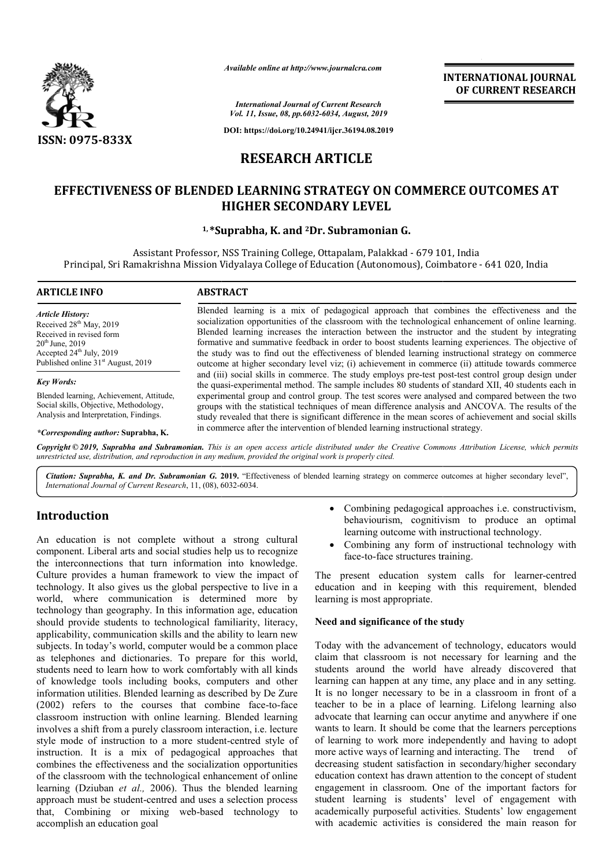

*Available online at http://www.journalcra.com*

**INTERNATIONAL JOURNAL OF CURRENT RESEARCH**

*International Journal of Current Research Vol. 11, Issue, 08, pp.6032-6034, August, 2019*

**DOI: https://doi.org/10.24941/ijcr.36194.08.2019**

# **RESEARCH ARTICLE**

## **EFFECTIVENESS OF BLENDED LEARNING STRATEGY ON COMMERCE OUTCOMES AT EFFECTIVENESS OF BLENDED HIGHER SECONDARY LEVEL**

### **1, \*Suprabha Suprabha, K. and 2Dr. Subramonian G.**

Assistant Professor, NSS Training College, Ottapalam, Palakkad - 679 101 679 101, India Principal, Sri Ramakrishna Mission Vidyalaya College of Education (Autonomous), Coimbatore - 641 020, India

| <b>ARTICLE INFO</b>                                                                                                                                                                      | <b>ABSTRACT</b>                                                                                                                                                                                                                                                                                                                                                                                                                                                                                                                                                                                                       |  |  |  |  |  |
|------------------------------------------------------------------------------------------------------------------------------------------------------------------------------------------|-----------------------------------------------------------------------------------------------------------------------------------------------------------------------------------------------------------------------------------------------------------------------------------------------------------------------------------------------------------------------------------------------------------------------------------------------------------------------------------------------------------------------------------------------------------------------------------------------------------------------|--|--|--|--|--|
| <b>Article History:</b><br>Received $28th$ May, 2019<br>Received in revised form<br>$20^{th}$ June, 2019<br>Accepted $24th$ July, 2019<br>Published online 31 <sup>st</sup> August, 2019 | Blended learning is a mix of pedagogical approach that combines the effectiveness and the<br>socialization opportunities of the classroom with the technological enhancement of online learning.<br>Blended learning increases the interaction between the instructor and the student by integrating<br>formative and summative feedback in order to boost students learning experiences. The objective of<br>the study was to find out the effectiveness of blended learning instructional strategy on commerce<br>outcome at higher secondary level viz; (i) achievement in commerce (ii) attitude towards commerce |  |  |  |  |  |
|                                                                                                                                                                                          | the dividend at the distribution of the control of the control of the control of the control of the control of the control of the control of the control of the control of the control of the control of the control of the c                                                                                                                                                                                                                                                                                                                                                                                         |  |  |  |  |  |

*Key Words:* Blended learning, Achievement, Attitude, Social skills, Objective, Methodology, Analysis and Interpretation, Findings.

*\*Corresponding author:* **Suprabha, K.**

socialization opportunities of the classroom with the technological enhancement of online learning. formative and summative feedback in order to boost students learning experiences. The objective of outcome at higher secondary level viz; (i) achievement in commerce (ii) attitude towards commerce outcome at higher secondary level viz; (i) achievement in commerce (ii) attitude towards commerce and (iii) social skills in commerce. The study employs pre-test post-test control group design under the quasi-experimental method. The sample includes 80 students of standard XII, 40 students each in experimental group and control group. The test scores were analysed and compared between the two groups with the statistical techniques of mean difference analysis and ANCOVA. The results of the study revealed that there is significant difference in the mean scores of achievement and social skills in commerce after the intervention of blended learning instructional strategy. the interaction between the instructor and the student by integrating the quasi-experimental method. The sample includes 80 students of standard XII, 40 students experimental group and control group. The test scores were analysed and compared between the groups with the statistical technique

Copyright © 2019, Suprabha and Subramonian. This is an open access article distributed under the Creative Commons Attribution License, which permits *unrestricted use, distribution, and reproduction in any medium, provided the original work is properly cited.*

Citation: Suprabha, K. and Dr. Subramonian G. 2019. "Effectiveness of blended learning strategy on commerce outcomes at higher secondary level", *International Journal of Current Research*, 11, (08), 6032 6032-6034.

### **Introduction**

An education is not complete without a strong cultural component. Liberal arts and social studies help us to recognize the interconnections that turn information into knowledge. Culture provides a human framework to view the impact of technology. It also gives us the global perspective to live in a world, where communication is determined more by technology than geography. In this information age, education should provide students to technological familiarity, literacy, applicability, communication skills and the ability to learn new subjects. In today's world, computer would be a common place as telephones and dictionaries. To prepare for this world, students need to learn how to work comfortably with all kinds of knowledge tools including books, computers and other information utilities. Blended learning as described by De Zure (2002) refers to the courses that combine face classroom instruction with online learning. Blended learning involves a shift from a purely classroom interaction, i.e. lecture style mode of instruction to a more student-centred style of instruction. It is a mix of pedagogical approaches that combines the effectiveness and the socialization opportunities of the classroom with the technological enhancement of online learning (Dziuban *et al.,* 2006). Thus the blended l learning approach must be student-centred and uses a selection process that, Combining or mixing web-based technology to accomplish an education goal n today's world, computer would be a common place<br>ones and dictionaries. To prepare for this world,<br>eed to learn how to work comfortably with all kinds<br>edge tools including books, computers and other<br>on utilities. Blended

- behaviourism, cognitivism to produce an optimal learning outcome with instructional technology. ing pedagogical approaches i.e. constructivism, urism, cognitivism to produce an optimal goutcome with instructional technology.<br>In ig any form of instructional technology with face structures training.<br>education system ca
- Combining any form of instructional technology with face-to-face structures training.

The present education system calls for learner-centred education and in keeping with this requirement, blended learning is most appropriate.

#### **Need and significance of the study**

Combining pedagogical approaches i.e. constructivism,<br>
computed combining pedagogical approaches i.e. constructional<br>
the inproduct a recognize<br>
turn information into knowledge.<br>
In framework to view the impact of<br>
The pre Today with the advancement of technology, educators would claim that classroom is not necessary for learning and the students around the world have already discovered that learning can happen at any time, any place and in any setting. It is no longer necessary to be in a classroom in front of a teacher to be in a place of learning. Lifelong learning also advocate that learning can occur anytime and anywhere if one wants to learn. It should be come that the learners perceptions of learning to work more independently and having to adopt of learning to work more independently and having to adopt more active ways of learning and interacting. The trend of decreasing student satisfaction in secondary/higher secondary decreasing student satisfaction in secondary/higher secondary education context has drawn attention to the concept of student engagement in classroom. One of the important factors for student learning is students' level of engagement with academically purposeful activities. Students' low engagement with academic activities is considered the main reason for and in keeping with this requirement, blended<br>
and significance of the study<br>
day with the advancement of technology, educators would<br>
im that classroom is not necessary for learning and the<br>
dents around the world have al Continuo International Contexts and the state of the state of the state of the state of the state of the state of the state of purpose the minima G.<br>
alakkad - 679 101, India<br>
approach that combines the effectiveness and t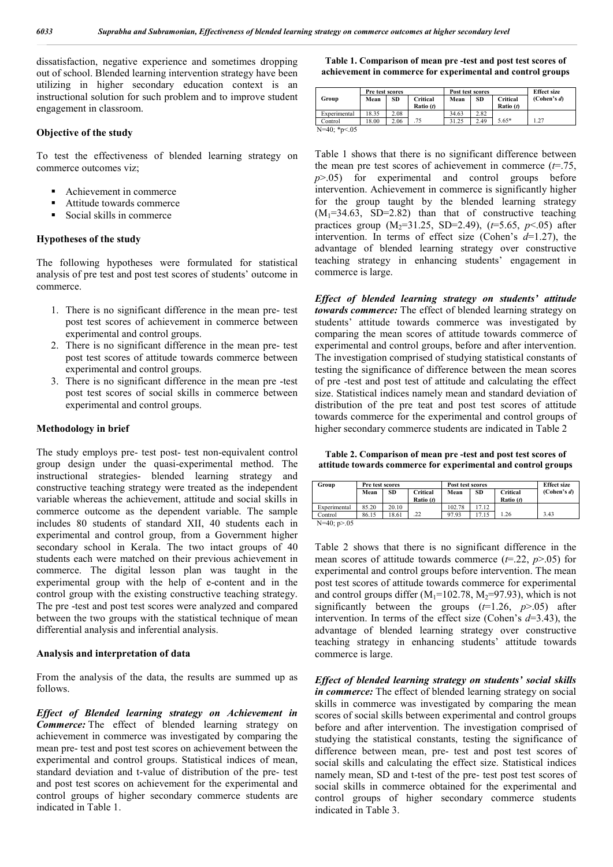dissatisfaction, negative experience and sometimes dropping out of school. Blended learning intervention strategy have been utilizing in higher secondary education context is an instructional solution for such problem and to improve student engagement in classroom.

#### **Objective of the study**

To test the effectiveness of blended learning strategy on commerce outcomes viz;

- Achievement in commerce
- Attitude towards commerce
- Social skills in commerce

#### **Hypotheses of the study**

The following hypotheses were formulated for statistical analysis of pre test and post test scores of students' outcome in commerce.

- 1. There is no significant difference in the mean pre- test post test scores of achievement in commerce between experimental and control groups.
- 2. There is no significant difference in the mean pre- test post test scores of attitude towards commerce between experimental and control groups.
- 3. There is no significant difference in the mean pre -test post test scores of social skills in commerce between experimental and control groups.

#### **Methodology in brief**

The study employs pre- test post- test non-equivalent control group design under the quasi-experimental method. The instructional strategies- blended learning strategy and constructive teaching strategy were treated as the independent variable whereas the achievement, attitude and social skills in commerce outcome as the dependent variable. The sample includes 80 students of standard XII, 40 students each in experimental and control group, from a Government higher secondary school in Kerala. The two intact groups of 40 students each were matched on their previous achievement in commerce. The digital lesson plan was taught in the experimental group with the help of e-content and in the control group with the existing constructive teaching strategy. The pre -test and post test scores were analyzed and compared between the two groups with the statistical technique of mean differential analysis and inferential analysis.

#### **Analysis and interpretation of data**

From the analysis of the data, the results are summed up as follows.

*Effect of Blended learning strategy on Achievement in Commerce:* The effect of blended learning strategy on achievement in commerce was investigated by comparing the mean pre- test and post test scores on achievement between the experimental and control groups. Statistical indices of mean, standard deviation and t-value of distribution of the pre- test and post test scores on achievement for the experimental and control groups of higher secondary commerce students are indicated in Table 1.

#### **Table 1. Comparison of mean pre -test and post test scores of achievement in commerce for experimental and control groups**

|                 | Pre test scores |      |                       | Post test scores |      |                       | <b>Effect size</b> |
|-----------------|-----------------|------|-----------------------|------------------|------|-----------------------|--------------------|
| Group           | Mean            | SD   | Critical<br>Ratio (t) | Mean             | SD   | Critical<br>Ratio (t) | (Cohen's $d$ )     |
| Experimental    | 18.35           | 2.08 |                       | 34.63            | 2.82 |                       |                    |
| Control         | 18.00           | 2.06 | .75                   | 31.25            | 2.49 | $5.65*$               | 1.27               |
| $N=40$ ; *p<.05 |                 |      |                       |                  |      |                       |                    |

Table 1 shows that there is no significant difference between the mean pre test scores of achievement in commerce (*t*=.75, *p*>.05) for experimental and control groups before intervention. Achievement in commerce is significantly higher for the group taught by the blended learning strategy  $(M_1=34.63, SD=2.82)$  than that of constructive teaching practices group  $(M_2=31.25, SD=2.49)$ ,  $(t=5.65, p<0.05)$  after intervention. In terms of effect size (Cohen's *d*=1.27), the advantage of blended learning strategy over constructive teaching strategy in enhancing students' engagement in commerce is large.

*Effect of blended learning strategy on students' attitude towards commerce:* The effect of blended learning strategy on students' attitude towards commerce was investigated by comparing the mean scores of attitude towards commerce of experimental and control groups, before and after intervention. The investigation comprised of studying statistical constants of testing the significance of difference between the mean scores of pre -test and post test of attitude and calculating the effect size. Statistical indices namely mean and standard deviation of distribution of the pre teat and post test scores of attitude towards commerce for the experimental and control groups of higher secondary commerce students are indicated in Table 2

**Table 2. Comparison of mean pre -test and post test scores of attitude towards commerce for experimental and control groups**

| Group          | Pre test scores |       |           | Post test scores |       |           | <b>Effect size</b> |
|----------------|-----------------|-------|-----------|------------------|-------|-----------|--------------------|
|                | Mean            | SD    | Critical  | Mean             | SD    | Critical  | (Cohen's $d$ )     |
|                |                 |       | Ratio (t) |                  |       | Ratio (t) |                    |
| Experimental   | 85.20           | 20.10 |           | 102.78           | 17.12 |           |                    |
| Control        | 86.15           | 18.61 | .22       | 97.93            | 17.15 | 1 26      | 3.43               |
| $N=40; p>0.05$ |                 |       |           |                  |       |           |                    |

Table 2 shows that there is no significant difference in the mean scores of attitude towards commerce  $(t=22, p>0.05)$  for experimental and control groups before intervention. The mean post test scores of attitude towards commerce for experimental and control groups differ  $(M_1=102.78, M_2=97.93)$ , which is not significantly between the groups (*t*=1.26, *p*>.05) after intervention. In terms of the effect size (Cohen's *d*=3.43), the advantage of blended learning strategy over constructive teaching strategy in enhancing students' attitude towards commerce is large.

*Effect of blended learning strategy on students' social skills in commerce:* The effect of blended learning strategy on social skills in commerce was investigated by comparing the mean scores of social skills between experimental and control groups before and after intervention. The investigation comprised of studying the statistical constants, testing the significance of difference between mean, pre- test and post test scores of social skills and calculating the effect size. Statistical indices namely mean, SD and t-test of the pre- test post test scores of social skills in commerce obtained for the experimental and control groups of higher secondary commerce students indicated in Table 3.